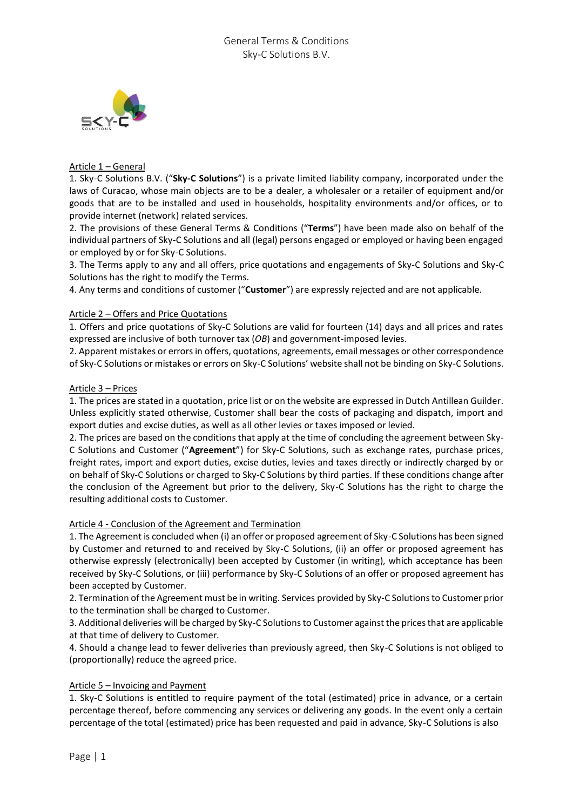

# Article 1 – General

1. Sky-C Solutions B.V. ("**Sky-C Solutions**") is a private limited liability company, incorporated under the laws of Curacao, whose main objects are to be a dealer, a wholesaler or a retailer of equipment and/or goods that are to be installed and used in households, hospitality environments and/or offices, or to provide internet (network) related services.

2. The provisions of these General Terms & Conditions ("**Terms**") have been made also on behalf of the individual partners of Sky-C Solutions and all (legal) persons engaged or employed or having been engaged or employed by or for Sky-C Solutions.

3. The Terms apply to any and all offers, price quotations and engagements of Sky-C Solutions and Sky-C Solutions has the right to modify the Terms.

4. Any terms and conditions of customer ("**Customer**") are expressly rejected and are not applicable.

## Article 2 – Offers and Price Quotations

1. Offers and price quotations of Sky-C Solutions are valid for fourteen (14) days and all prices and rates expressed are inclusive of both turnover tax (*OB*) and government-imposed levies.

2. Apparent mistakes or errors in offers, quotations, agreements, email messages or other correspondence of Sky-C Solutions or mistakes or errors on Sky-C Solutions' website shall not be binding on Sky-C Solutions.

## Article 3 – Prices

1. The prices are stated in a quotation, price list or on the website are expressed in Dutch Antillean Guilder. Unless explicitly stated otherwise, Customer shall bear the costs of packaging and dispatch, import and export duties and excise duties, as well as all other levies or taxes imposed or levied.

2. The prices are based on the conditions that apply at the time of concluding the agreement between Sky-C Solutions and Customer ("**Agreement**") for Sky-C Solutions, such as exchange rates, purchase prices, freight rates, import and export duties, excise duties, levies and taxes directly or indirectly charged by or on behalf of Sky-C Solutions or charged to Sky-C Solutions by third parties. If these conditions change after the conclusion of the Agreement but prior to the delivery, Sky-C Solutions has the right to charge the resulting additional costs to Customer.

## Article 4 - Conclusion of the Agreement and Termination

1. The Agreement is concluded when (i) an offer or proposed agreement of Sky-C Solutions has been signed by Customer and returned to and received by Sky-C Solutions, (ii) an offer or proposed agreement has otherwise expressly (electronically) been accepted by Customer (in writing), which acceptance has been received by Sky-C Solutions, or (iii) performance by Sky-C Solutions of an offer or proposed agreement has been accepted by Customer.

2. Termination of the Agreement must be in writing. Services provided by Sky-C Solutions to Customer prior to the termination shall be charged to Customer.

3. Additional deliveries will be charged by Sky-C Solutions to Customer against the prices that are applicable at that time of delivery to Customer.

4. Should a change lead to fewer deliveries than previously agreed, then Sky-C Solutions is not obliged to (proportionally) reduce the agreed price.

## Article 5 – Invoicing and Payment

1. Sky-C Solutions is entitled to require payment of the total (estimated) price in advance, or a certain percentage thereof, before commencing any services or delivering any goods. In the event only a certain percentage of the total (estimated) price has been requested and paid in advance, Sky-C Solutions is also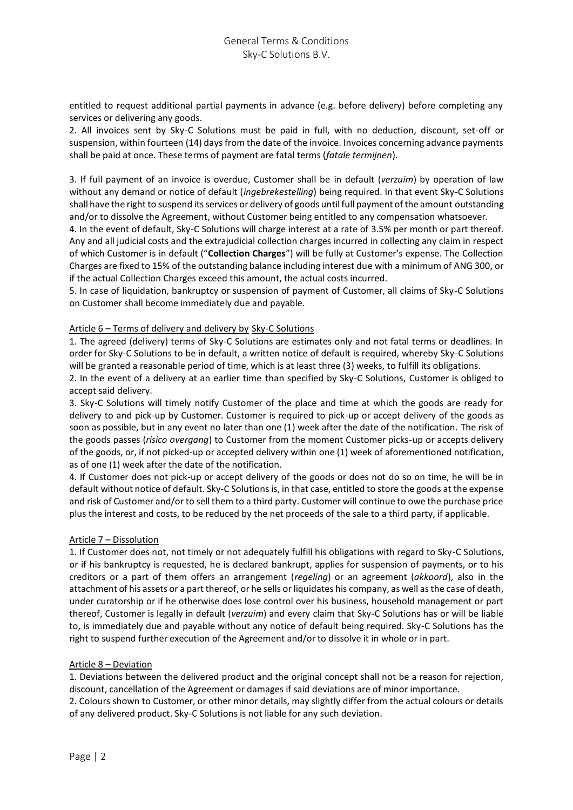entitled to request additional partial payments in advance (e.g. before delivery) before completing any services or delivering any goods.

2. All invoices sent by Sky-C Solutions must be paid in full, with no deduction, discount, set-off or suspension, within fourteen (14) days from the date of the invoice. Invoices concerning advance payments shall be paid at once. These terms of payment are fatal terms (*fatale termijnen*).

3. If full payment of an invoice is overdue, Customer shall be in default (*verzuim*) by operation of law without any demand or notice of default (*ingebrekestelling*) being required. In that event Sky-C Solutions shall have the right to suspend its services or delivery of goods until full payment of the amount outstanding and/or to dissolve the Agreement, without Customer being entitled to any compensation whatsoever.

4. In the event of default, Sky-C Solutions will charge interest at a rate of 3.5% per month or part thereof. Any and all judicial costs and the extrajudicial collection charges incurred in collecting any claim in respect of which Customer is in default ("**Collection Charges**") will be fully at Customer's expense. The Collection Charges are fixed to 15% of the outstanding balance including interest due with a minimum of ANG 300, or if the actual Collection Charges exceed this amount, the actual costs incurred.

5. In case of liquidation, bankruptcy or suspension of payment of Customer, all claims of Sky-C Solutions on Customer shall become immediately due and payable.

#### Article 6 – Terms of delivery and delivery by Sky-C Solutions

1. The agreed (delivery) terms of Sky-C Solutions are estimates only and not fatal terms or deadlines. In order for Sky-C Solutions to be in default, a written notice of default is required, whereby Sky-C Solutions will be granted a reasonable period of time, which is at least three (3) weeks, to fulfill its obligations.

2. In the event of a delivery at an earlier time than specified by Sky-C Solutions, Customer is obliged to accept said delivery.

3. Sky-C Solutions will timely notify Customer of the place and time at which the goods are ready for delivery to and pick-up by Customer. Customer is required to pick-up or accept delivery of the goods as soon as possible, but in any event no later than one (1) week after the date of the notification. The risk of the goods passes (*risico overgang*) to Customer from the moment Customer picks-up or accepts delivery of the goods, or, if not picked-up or accepted delivery within one (1) week of aforementioned notification, as of one (1) week after the date of the notification.

4. If Customer does not pick-up or accept delivery of the goods or does not do so on time, he will be in default without notice of default. Sky-C Solutions is, in that case, entitled to store the goods at the expense and risk of Customer and/or to sell them to a third party. Customer will continue to owe the purchase price plus the interest and costs, to be reduced by the net proceeds of the sale to a third party, if applicable.

## Article 7 – Dissolution

1. If Customer does not, not timely or not adequately fulfill his obligations with regard to Sky-C Solutions, or if his bankruptcy is requested, he is declared bankrupt, applies for suspension of payments, or to his creditors or a part of them offers an arrangement (*regeling*) or an agreement (*akkoord*), also in the attachment of his assets or a part thereof, or he sells or liquidates his company, as well as the case of death, under curatorship or if he otherwise does lose control over his business, household management or part thereof, Customer is legally in default (*verzuim*) and every claim that Sky-C Solutions has or will be liable to, is immediately due and payable without any notice of default being required. Sky-C Solutions has the right to suspend further execution of the Agreement and/or to dissolve it in whole or in part.

#### Article 8 – Deviation

1. Deviations between the delivered product and the original concept shall not be a reason for rejection, discount, cancellation of the Agreement or damages if said deviations are of minor importance.

2. Colours shown to Customer, or other minor details, may slightly differ from the actual colours or details of any delivered product. Sky-C Solutions is not liable for any such deviation.